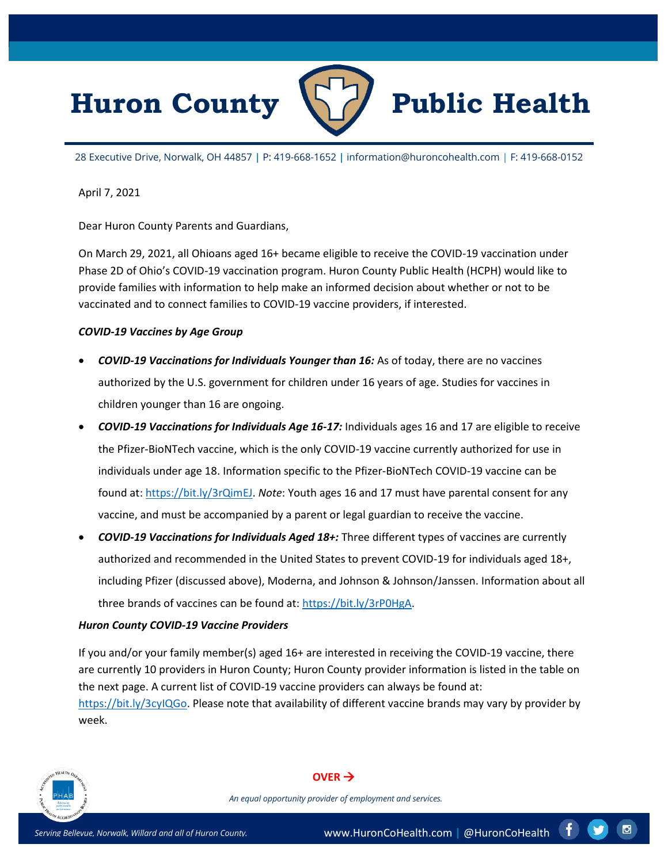



28 Executive Drive, Norwalk, OH 44857 **|** P: 419-668-1652 **|** information@huroncohealth.com | F: 419-668-0152

April 7, 2021

Dear Huron County Parents and Guardians,

On March 29, 2021, all Ohioans aged 16+ became eligible to receive the COVID-19 vaccination under Phase 2D of Ohio's COVID-19 vaccination program. Huron County Public Health (HCPH) would like to provide families with information to help make an informed decision about whether or not to be vaccinated and to connect families to COVID-19 vaccine providers, if interested.

### *COVID-19 Vaccines by Age Group*

- *COVID-19 Vaccinations for Individuals Younger than 16:* As of today, there are no vaccines authorized by the U.S. government for children under 16 years of age. Studies for vaccines in children younger than 16 are ongoing.
- *COVID-19 Vaccinations for Individuals Age 16-17:* Individuals ages 16 and 17 are eligible to receive the Pfizer-BioNTech vaccine, which is the only COVID-19 vaccine currently authorized for use in individuals under age 18. Information specific to the Pfizer-BioNTech COVID-19 vaccine can be found at[: https://bit.ly/3rQimEJ.](https://bit.ly/3rQimEJ) *Note*: Youth ages 16 and 17 must have parental consent for any vaccine, and must be accompanied by a parent or legal guardian to receive the vaccine.
- *COVID-19 Vaccinations for Individuals Aged 18+:* Three different types of vaccines are currently authorized and recommended in the United States to prevent COVID-19 for individuals aged 18+, including Pfizer (discussed above), Moderna, and Johnson & Johnson/Janssen. Information about all three brands of vaccines can be found at: [https://bit.ly/3rP0HgA.](https://bit.ly/3rP0HgA)

### *Huron County COVID-19 Vaccine Providers*

If you and/or your family member(s) aged 16+ are interested in receiving the COVID-19 vaccine, there are currently 10 providers in Huron County; Huron County provider information is listed in the table on the next page. A current list of COVID-19 vaccine providers can always be found at: [https://bit.ly/3cyIQGo.](https://bit.ly/3cyIQGo) Please note that availability of different vaccine brands may vary by provider by week.



#### $OVER \rightarrow$

*An equal opportunity provider of employment and services.*